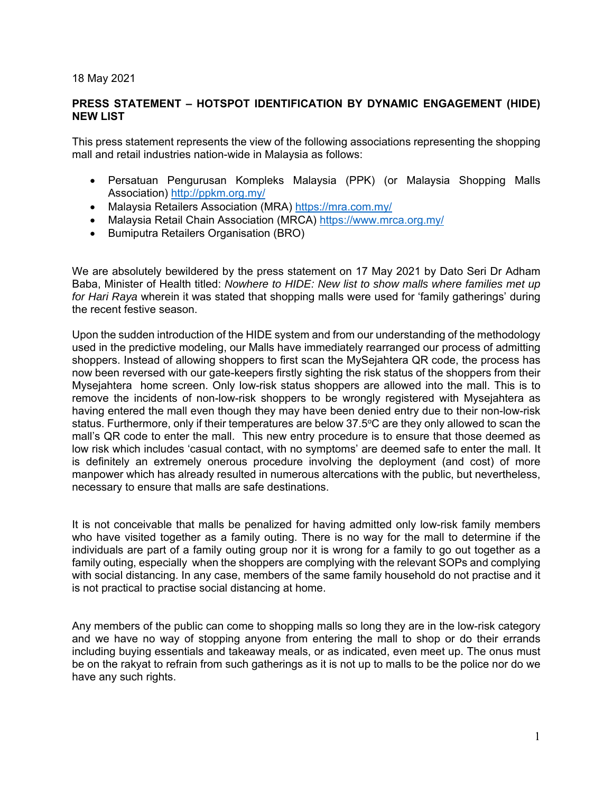## 18 May 2021

## **PRESS STATEMENT – HOTSPOT IDENTIFICATION BY DYNAMIC ENGAGEMENT (HIDE) NEW LIST**

This press statement represents the view of the following associations representing the shopping mall and retail industries nation-wide in Malaysia as follows:

- Persatuan Pengurusan Kompleks Malaysia (PPK) (or Malaysia Shopping Malls Association) http://ppkm.org.my/
- Malaysia Retailers Association (MRA) https://mra.com.my/
- Malaysia Retail Chain Association (MRCA) https://www.mrca.org.my/
- Bumiputra Retailers Organisation (BRO)

We are absolutely bewildered by the press statement on 17 May 2021 by Dato Seri Dr Adham Baba, Minister of Health titled: *Nowhere to HIDE: New list to show malls where families met up for Hari Raya* wherein it was stated that shopping malls were used for 'family gatherings' during the recent festive season.

Upon the sudden introduction of the HIDE system and from our understanding of the methodology used in the predictive modeling, our Malls have immediately rearranged our process of admitting shoppers. Instead of allowing shoppers to first scan the MySejahtera QR code, the process has now been reversed with our gate-keepers firstly sighting the risk status of the shoppers from their Mysejahtera home screen. Only low-risk status shoppers are allowed into the mall. This is to remove the incidents of non-low-risk shoppers to be wrongly registered with Mysejahtera as having entered the mall even though they may have been denied entry due to their non-low-risk status. Furthermore, only if their temperatures are below 37.5°C are they only allowed to scan the mall's QR code to enter the mall. This new entry procedure is to ensure that those deemed as low risk which includes 'casual contact, with no symptoms' are deemed safe to enter the mall. It is definitely an extremely onerous procedure involving the deployment (and cost) of more manpower which has already resulted in numerous altercations with the public, but nevertheless, necessary to ensure that malls are safe destinations.

It is not conceivable that malls be penalized for having admitted only low-risk family members who have visited together as a family outing. There is no way for the mall to determine if the individuals are part of a family outing group nor it is wrong for a family to go out together as a family outing, especially when the shoppers are complying with the relevant SOPs and complying with social distancing. In any case, members of the same family household do not practise and it is not practical to practise social distancing at home.

Any members of the public can come to shopping malls so long they are in the low-risk category and we have no way of stopping anyone from entering the mall to shop or do their errands including buying essentials and takeaway meals, or as indicated, even meet up. The onus must be on the rakyat to refrain from such gatherings as it is not up to malls to be the police nor do we have any such rights.